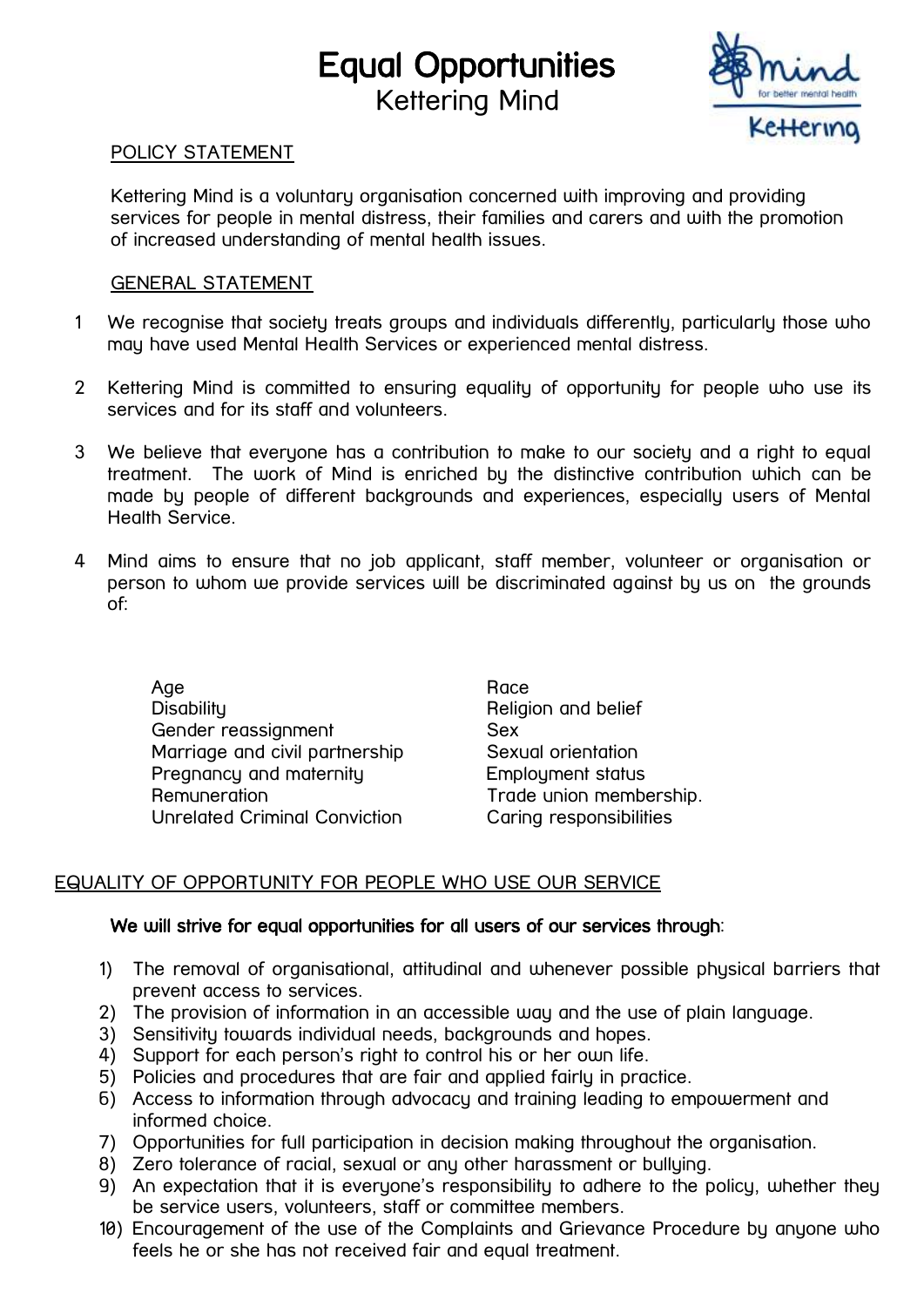# Equal Opportunities Kettering Mind



### POLICY STATEMENT

Kettering Mind is a voluntary organisation concerned with improving and providing services for people in mental distress, their families and carers and with the promotion of increased understanding of mental health issues.

#### GENERAL STATEMENT

- 1 We recognise that society treats groups and individuals differently, particularly those who may have used Mental Health Services or experienced mental distress.
- 2 Kettering Mind is committed to ensuring equality of opportunity for people who use its services and for its staff and volunteers.
- 3 We believe that everyone has a contribution to make to our society and a right to equal treatment. The work of Mind is enriched by the distinctive contribution which can be made by people of different backgrounds and experiences, especially users of Mental Health Service.
- 4 Mind aims to ensure that no job applicant, staff member, volunteer or organisation or person to whom we provide services will be discriminated against by us on the grounds of:

Age Race Research Age Race Race Disability **Disability** Religion and belief Gender reassignment Sex Marriage and civil partnership Sexual orientation Pregnancy and maternity Employment status Remuneration **Trade union membership.** Unrelated Criminal Conviction Caring responsibilities

# EQUALITY OF OPPORTUNITY FOR PEOPLE WHO USE OUR SERVICE

### We will strive for equal opportunities for all users of our services through:

- 1) The removal of organisational, attitudinal and whenever possible physical barriers that prevent access to services.
- 2) The provision of information in an accessible way and the use of plain language.
- 3) Sensitivity towards individual needs, backgrounds and hopes.
- 4) Support for each person's right to control his or her own life.
- 5) Policies and procedures that are fair and applied fairly in practice.
- 6) Access to information through advocacy and training leading to empowerment and informed choice.
- 7) Opportunities for full participation in decision making throughout the organisation.
- 8) Zero tolerance of racial, sexual or any other harassment or bullying.
- 9) An expectation that it is everyone's responsibility to adhere to the policy, whether they be service users, volunteers, staff or committee members.
- 10) Encouragement of the use of the Complaints and Grievance Procedure by anyone who feels he or she has not received fair and equal treatment.